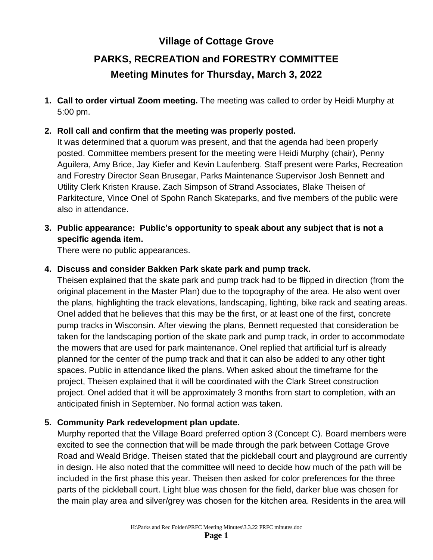## **Village of Cottage Grove**

# **PARKS, RECREATION and FORESTRY COMMITTEE Meeting Minutes for Thursday, March 3, 2022**

**1. Call to order virtual Zoom meeting.** The meeting was called to order by Heidi Murphy at 5:00 pm.

#### **2. Roll call and confirm that the meeting was properly posted.**

It was determined that a quorum was present, and that the agenda had been properly posted. Committee members present for the meeting were Heidi Murphy (chair), Penny Aguilera, Amy Brice, Jay Kiefer and Kevin Laufenberg. Staff present were Parks, Recreation and Forestry Director Sean Brusegar, Parks Maintenance Supervisor Josh Bennett and Utility Clerk Kristen Krause. Zach Simpson of Strand Associates, Blake Theisen of Parkitecture, Vince Onel of Spohn Ranch Skateparks, and five members of the public were also in attendance.

**3. Public appearance: Public's opportunity to speak about any subject that is not a specific agenda item.**

There were no public appearances.

#### **4. Discuss and consider Bakken Park skate park and pump track.**

Theisen explained that the skate park and pump track had to be flipped in direction (from the original placement in the Master Plan) due to the topography of the area. He also went over the plans, highlighting the track elevations, landscaping, lighting, bike rack and seating areas. Onel added that he believes that this may be the first, or at least one of the first, concrete pump tracks in Wisconsin. After viewing the plans, Bennett requested that consideration be taken for the landscaping portion of the skate park and pump track, in order to accommodate the mowers that are used for park maintenance. Onel replied that artificial turf is already planned for the center of the pump track and that it can also be added to any other tight spaces. Public in attendance liked the plans. When asked about the timeframe for the project, Theisen explained that it will be coordinated with the Clark Street construction project. Onel added that it will be approximately 3 months from start to completion, with an anticipated finish in September. No formal action was taken.

#### **5. Community Park redevelopment plan update.**

Murphy reported that the Village Board preferred option 3 (Concept C). Board members were excited to see the connection that will be made through the park between Cottage Grove Road and Weald Bridge. Theisen stated that the pickleball court and playground are currently in design. He also noted that the committee will need to decide how much of the path will be included in the first phase this year. Theisen then asked for color preferences for the three parts of the pickleball court. Light blue was chosen for the field, darker blue was chosen for the main play area and silver/grey was chosen for the kitchen area. Residents in the area will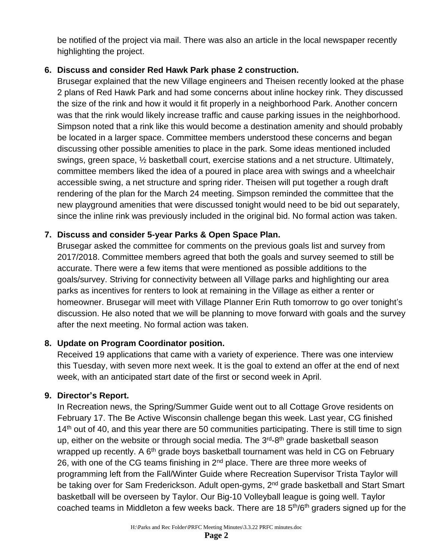be notified of the project via mail. There was also an article in the local newspaper recently highlighting the project.

## **6. Discuss and consider Red Hawk Park phase 2 construction.**

Brusegar explained that the new Village engineers and Theisen recently looked at the phase 2 plans of Red Hawk Park and had some concerns about inline hockey rink. They discussed the size of the rink and how it would it fit properly in a neighborhood Park. Another concern was that the rink would likely increase traffic and cause parking issues in the neighborhood. Simpson noted that a rink like this would become a destination amenity and should probably be located in a larger space. Committee members understood these concerns and began discussing other possible amenities to place in the park. Some ideas mentioned included swings, green space, ½ basketball court, exercise stations and a net structure. Ultimately, committee members liked the idea of a poured in place area with swings and a wheelchair accessible swing, a net structure and spring rider. Theisen will put together a rough draft rendering of the plan for the March 24 meeting. Simpson reminded the committee that the new playground amenities that were discussed tonight would need to be bid out separately, since the inline rink was previously included in the original bid. No formal action was taken.

## **7. Discuss and consider 5-year Parks & Open Space Plan.**

Brusegar asked the committee for comments on the previous goals list and survey from 2017/2018. Committee members agreed that both the goals and survey seemed to still be accurate. There were a few items that were mentioned as possible additions to the goals/survey. Striving for connectivity between all Village parks and highlighting our area parks as incentives for renters to look at remaining in the Village as either a renter or homeowner. Brusegar will meet with Village Planner Erin Ruth tomorrow to go over tonight's discussion. He also noted that we will be planning to move forward with goals and the survey after the next meeting. No formal action was taken.

## **8. Update on Program Coordinator position.**

Received 19 applications that came with a variety of experience. There was one interview this Tuesday, with seven more next week. It is the goal to extend an offer at the end of next week, with an anticipated start date of the first or second week in April.

## **9. Director's Report.**

In Recreation news, the Spring/Summer Guide went out to all Cottage Grove residents on February 17. The Be Active Wisconsin challenge began this week. Last year, CG finished  $14<sup>th</sup>$  out of 40, and this year there are 50 communities participating. There is still time to sign up, either on the website or through social media. The 3<sup>rd</sup>-8<sup>th</sup> grade basketball season wrapped up recently. A  $6<sup>th</sup>$  grade boys basketball tournament was held in CG on February 26, with one of the CG teams finishing in 2<sup>nd</sup> place. There are three more weeks of programming left from the Fall/Winter Guide where Recreation Supervisor Trista Taylor will be taking over for Sam Frederickson. Adult open-gyms, 2<sup>nd</sup> grade basketball and Start Smart basketball will be overseen by Taylor. Our Big-10 Volleyball league is going well. Taylor coached teams in Middleton a few weeks back. There are 18 5<sup>th</sup>/6<sup>th</sup> graders signed up for the